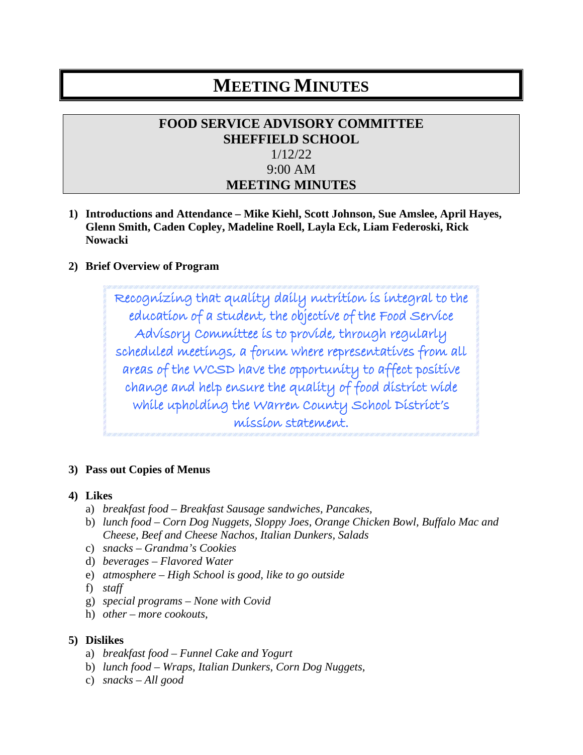# **MEETING MINUTES**

# **FOOD SERVICE ADVISORY COMMITTEE SHEFFIELD SCHOOL** 1/12/22 9:00 AM **MEETING MINUTES**

**1) Introductions and Attendance – Mike Kiehl, Scott Johnson, Sue Amslee, April Hayes, Glenn Smith, Caden Copley, Madeline Roell, Layla Eck, Liam Federoski, Rick Nowacki**

#### **2) Brief Overview of Program**

Recognizing that quality daily nutrition is integral to the education of a student, the objective of the Food Service Advisory Committee is to provide, through regularly scheduled meetings, a forum where representatives from all areas of the WCSD have the opportunity to affect positive change and help ensure the quality of food district wide while upholding the Warren County School District's mission statement.

#### **3) Pass out Copies of Menus**

#### **4) Likes**

- a) *breakfast food – Breakfast Sausage sandwiches, Pancakes,*
- b) *lunch food – Corn Dog Nuggets, Sloppy Joes, Orange Chicken Bowl, Buffalo Mac and Cheese, Beef and Cheese Nachos, Italian Dunkers, Salads*
- c) *snacks – Grandma's Cookies*
- d) *beverages – Flavored Water*
- e) *atmosphere – High School is good, like to go outside*
- f) *staff*
- g) *special programs – None with Covid*
- h) *other – more cookouts,*

#### **5) Dislikes**

- a) *breakfast food – Funnel Cake and Yogurt*
- b) *lunch food – Wraps, Italian Dunkers, Corn Dog Nuggets,*
- c) *snacks – All good*